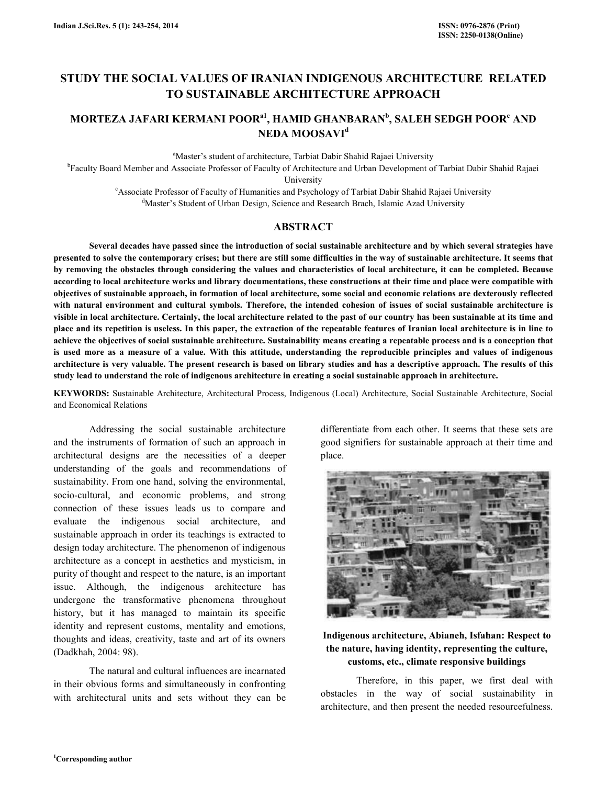# STUDY THE SOCIAL VALUES OF IRANIAN INDIGENOUS ARCHITECTURE RELATED TO SUSTAINABLE ARCHITECTURE APPROACH

# MORTEZA JAFARI KERMANI POOR $^{\rm a1}$ , HAMID GHANBARAN $^{\rm b}$ , SALEH SEDGH POOR $^{\rm c}$  AND NEDA MOOSAVI<sup>d</sup>

<sup>a</sup>Master's student of architecture, Tarbiat Dabir Shahid Rajaei University

<sup>b</sup>Faculty Board Member and Associate Professor of Faculty of Architecture and Urban Development of Tarbiat Dabir Shahid Rajaei University

<sup>c</sup>Associate Professor of Faculty of Humanities and Psychology of Tarbiat Dabir Shahid Rajaei University

<sup>d</sup>Master's Student of Urban Design, Science and Research Brach, Islamic Azad University

#### ABSTRACT

 Several decades have passed since the introduction of social sustainable architecture and by which several strategies have presented to solve the contemporary crises; but there are still some difficulties in the way of sustainable architecture. It seems that by removing the obstacles through considering the values and characteristics of local architecture, it can be completed. Because according to local architecture works and library documentations, these constructions at their time and place were compatible with objectives of sustainable approach, in formation of local architecture, some social and economic relations are dexterously reflected with natural environment and cultural symbols. Therefore, the intended cohesion of issues of social sustainable architecture is visible in local architecture. Certainly, the local architecture related to the past of our country has been sustainable at its time and place and its repetition is useless. In this paper, the extraction of the repeatable features of Iranian local architecture is in line to achieve the objectives of social sustainable architecture. Sustainability means creating a repeatable process and is a conception that is used more as a measure of a value. With this attitude, understanding the reproducible principles and values of indigenous architecture is very valuable. The present research is based on library studies and has a descriptive approach. The results of this study lead to understand the role of indigenous architecture in creating a social sustainable approach in architecture.

KEYWORDS: Sustainable Architecture, Architectural Process, Indigenous (Local) Architecture, Social Sustainable Architecture, Social and Economical Relations

 Addressing the social sustainable architecture and the instruments of formation of such an approach in architectural designs are the necessities of a deeper understanding of the goals and recommendations of sustainability. From one hand, solving the environmental, socio-cultural, and economic problems, and strong connection of these issues leads us to compare and evaluate the indigenous social architecture, and sustainable approach in order its teachings is extracted to design today architecture. The phenomenon of indigenous architecture as a concept in aesthetics and mysticism, in purity of thought and respect to the nature, is an important issue. Although, the indigenous architecture has undergone the transformative phenomena throughout history, but it has managed to maintain its specific identity and represent customs, mentality and emotions, thoughts and ideas, creativity, taste and art of its owners (Dadkhah, 2004: 98).

 The natural and cultural influences are incarnated in their obvious forms and simultaneously in confronting with architectural units and sets without they can be

differentiate from each other. It seems that these sets are good signifiers for sustainable approach at their time and place.



# Indigenous architecture, Abianeh, Isfahan: Respect to the nature, having identity, representing the culture, customs, etc., climate responsive buildings

 Therefore, in this paper, we first deal with obstacles in the way of social sustainability in architecture, and then present the needed resourcefulness.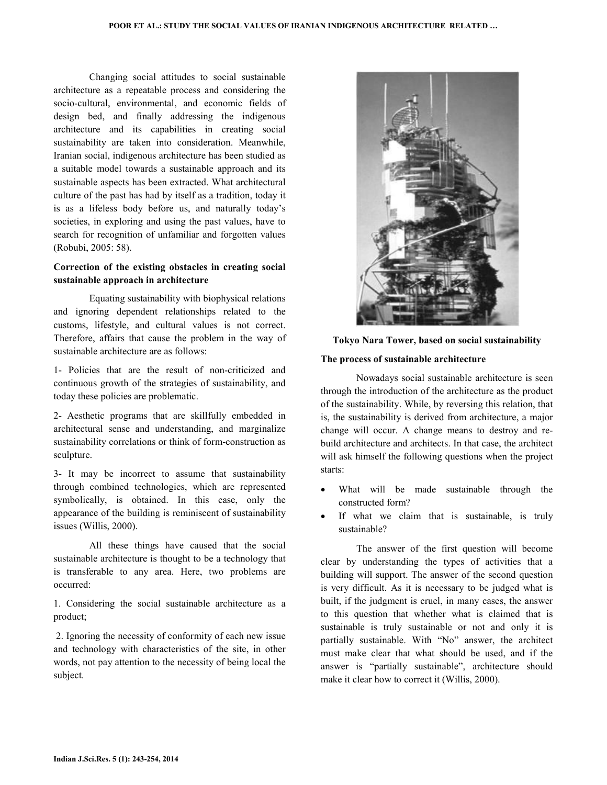Changing social attitudes to social sustainable architecture as a repeatable process and considering the socio-cultural, environmental, and economic fields of design bed, and finally addressing the indigenous architecture and its capabilities in creating social sustainability are taken into consideration. Meanwhile, Iranian social, indigenous architecture has been studied as a suitable model towards a sustainable approach and its sustainable aspects has been extracted. What architectural culture of the past has had by itself as a tradition, today it is as a lifeless body before us, and naturally today's societies, in exploring and using the past values, have to search for recognition of unfamiliar and forgotten values (Robubi, 2005: 58).

### Correction of the existing obstacles in creating social sustainable approach in architecture

 Equating sustainability with biophysical relations and ignoring dependent relationships related to the customs, lifestyle, and cultural values is not correct. Therefore, affairs that cause the problem in the way of sustainable architecture are as follows:

1- Policies that are the result of non-criticized and continuous growth of the strategies of sustainability, and today these policies are problematic.

2- Aesthetic programs that are skillfully embedded in architectural sense and understanding, and marginalize sustainability correlations or think of form-construction as sculpture.

3- It may be incorrect to assume that sustainability through combined technologies, which are represented symbolically, is obtained. In this case, only the appearance of the building is reminiscent of sustainability issues (Willis, 2000).

 All these things have caused that the social sustainable architecture is thought to be a technology that is transferable to any area. Here, two problems are occurred:

1. Considering the social sustainable architecture as a product;

 2. Ignoring the necessity of conformity of each new issue and technology with characteristics of the site, in other words, not pay attention to the necessity of being local the subject.



#### Tokyo Nara Tower, based on social sustainability

#### The process of sustainable architecture

 Nowadays social sustainable architecture is seen through the introduction of the architecture as the product of the sustainability. While, by reversing this relation, that is, the sustainability is derived from architecture, a major change will occur. A change means to destroy and rebuild architecture and architects. In that case, the architect will ask himself the following questions when the project starts:

- What will be made sustainable through the constructed form?
- If what we claim that is sustainable, is truly sustainable?

 The answer of the first question will become clear by understanding the types of activities that a building will support. The answer of the second question is very difficult. As it is necessary to be judged what is built, if the judgment is cruel, in many cases, the answer to this question that whether what is claimed that is sustainable is truly sustainable or not and only it is partially sustainable. With "No" answer, the architect must make clear that what should be used, and if the answer is "partially sustainable", architecture should make it clear how to correct it (Willis, 2000).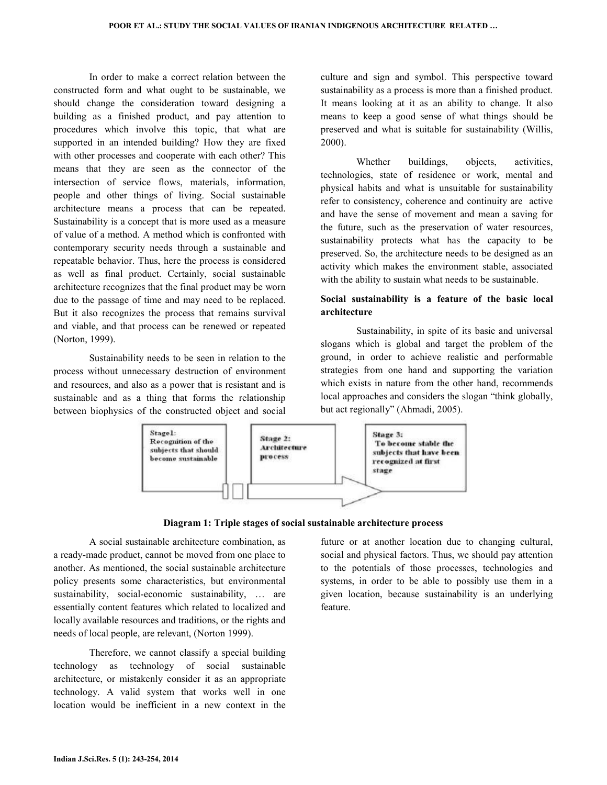In order to make a correct relation between the constructed form and what ought to be sustainable, we should change the consideration toward designing a building as a finished product, and pay attention to procedures which involve this topic, that what are supported in an intended building? How they are fixed with other processes and cooperate with each other? This means that they are seen as the connector of the intersection of service flows, materials, information, people and other things of living. Social sustainable architecture means a process that can be repeated. Sustainability is a concept that is more used as a measure of value of a method. A method which is confronted with contemporary security needs through a sustainable and repeatable behavior. Thus, here the process is considered as well as final product. Certainly, social sustainable architecture recognizes that the final product may be worn due to the passage of time and may need to be replaced. But it also recognizes the process that remains survival and viable, and that process can be renewed or repeated (Norton, 1999).

 Sustainability needs to be seen in relation to the process without unnecessary destruction of environment and resources, and also as a power that is resistant and is sustainable and as a thing that forms the relationship between biophysics of the constructed object and social

culture and sign and symbol. This perspective toward sustainability as a process is more than a finished product. It means looking at it as an ability to change. It also means to keep a good sense of what things should be preserved and what is suitable for sustainability (Willis, 2000).

Whether buildings, objects, activities, technologies, state of residence or work, mental and physical habits and what is unsuitable for sustainability refer to consistency, coherence and continuity are active and have the sense of movement and mean a saving for the future, such as the preservation of water resources, sustainability protects what has the capacity to be preserved. So, the architecture needs to be designed as an activity which makes the environment stable, associated with the ability to sustain what needs to be sustainable.

### Social sustainability is a feature of the basic local architecture

 Sustainability, in spite of its basic and universal slogans which is global and target the problem of the ground, in order to achieve realistic and performable strategies from one hand and supporting the variation which exists in nature from the other hand, recommends local approaches and considers the slogan "think globally, but act regionally" (Ahmadi, 2005).



#### Diagram 1: Triple stages of social sustainable architecture process

 A social sustainable architecture combination, as a ready-made product, cannot be moved from one place to another. As mentioned, the social sustainable architecture policy presents some characteristics, but environmental sustainability, social-economic sustainability, … are essentially content features which related to localized and locally available resources and traditions, or the rights and needs of local people, are relevant, (Norton 1999).

 Therefore, we cannot classify a special building technology as technology of social sustainable architecture, or mistakenly consider it as an appropriate technology. A valid system that works well in one location would be inefficient in a new context in the

future or at another location due to changing cultural, social and physical factors. Thus, we should pay attention to the potentials of those processes, technologies and systems, in order to be able to possibly use them in a given location, because sustainability is an underlying feature.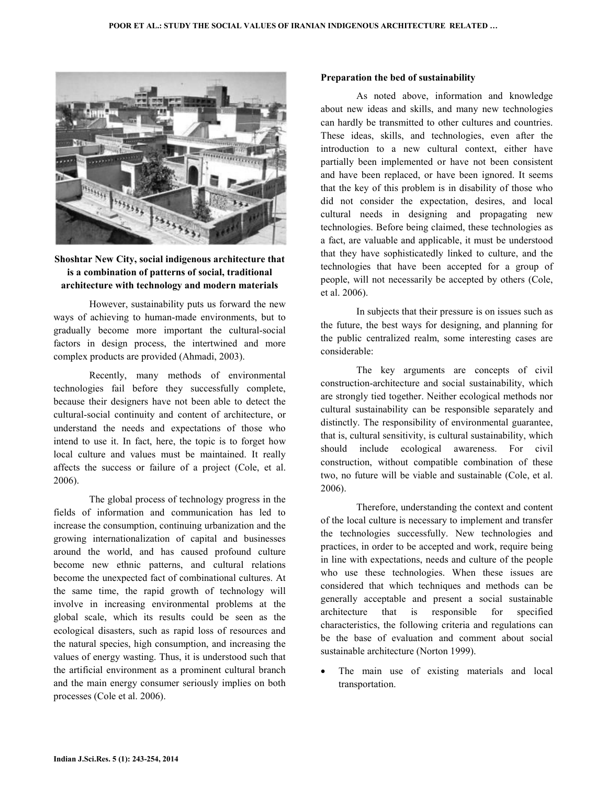

# Shoshtar New City, social indigenous architecture that is a combination of patterns of social, traditional architecture with technology and modern materials

 However, sustainability puts us forward the new ways of achieving to human-made environments, but to gradually become more important the cultural-social factors in design process, the intertwined and more complex products are provided (Ahmadi, 2003).

 Recently, many methods of environmental technologies fail before they successfully complete, because their designers have not been able to detect the cultural-social continuity and content of architecture, or understand the needs and expectations of those who intend to use it. In fact, here, the topic is to forget how local culture and values must be maintained. It really affects the success or failure of a project (Cole, et al. 2006).

 The global process of technology progress in the fields of information and communication has led to increase the consumption, continuing urbanization and the growing internationalization of capital and businesses around the world, and has caused profound culture become new ethnic patterns, and cultural relations become the unexpected fact of combinational cultures. At the same time, the rapid growth of technology will involve in increasing environmental problems at the global scale, which its results could be seen as the ecological disasters, such as rapid loss of resources and the natural species, high consumption, and increasing the values of energy wasting. Thus, it is understood such that the artificial environment as a prominent cultural branch and the main energy consumer seriously implies on both processes (Cole et al. 2006).

#### Preparation the bed of sustainability

 As noted above, information and knowledge about new ideas and skills, and many new technologies can hardly be transmitted to other cultures and countries. These ideas, skills, and technologies, even after the introduction to a new cultural context, either have partially been implemented or have not been consistent and have been replaced, or have been ignored. It seems that the key of this problem is in disability of those who did not consider the expectation, desires, and local cultural needs in designing and propagating new technologies. Before being claimed, these technologies as a fact, are valuable and applicable, it must be understood that they have sophisticatedly linked to culture, and the technologies that have been accepted for a group of people, will not necessarily be accepted by others (Cole, et al. 2006).

 In subjects that their pressure is on issues such as the future, the best ways for designing, and planning for the public centralized realm, some interesting cases are considerable:

 The key arguments are concepts of civil construction-architecture and social sustainability, which are strongly tied together. Neither ecological methods nor cultural sustainability can be responsible separately and distinctly. The responsibility of environmental guarantee, that is, cultural sensitivity, is cultural sustainability, which should include ecological awareness. For civil construction, without compatible combination of these two, no future will be viable and sustainable (Cole, et al. 2006).

 Therefore, understanding the context and content of the local culture is necessary to implement and transfer the technologies successfully. New technologies and practices, in order to be accepted and work, require being in line with expectations, needs and culture of the people who use these technologies. When these issues are considered that which techniques and methods can be generally acceptable and present a social sustainable architecture that is responsible for specified characteristics, the following criteria and regulations can be the base of evaluation and comment about social sustainable architecture (Norton 1999).

The main use of existing materials and local transportation.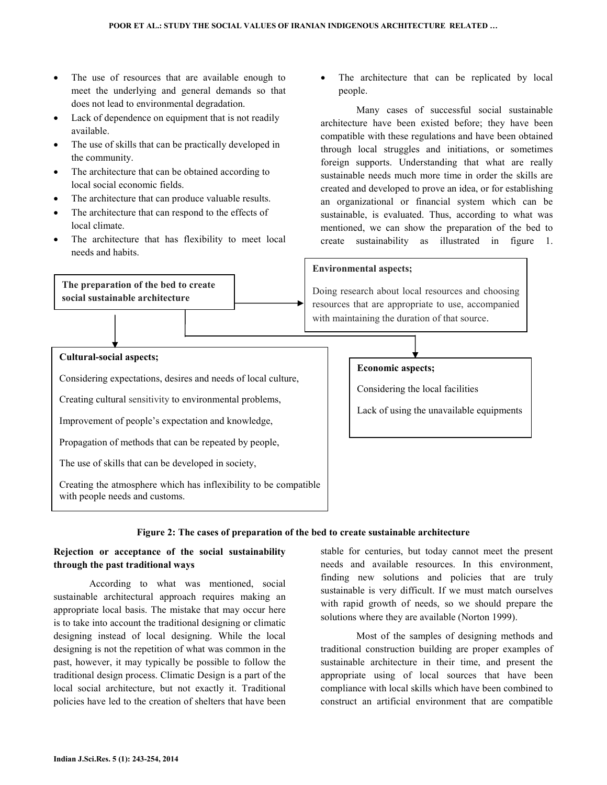- The use of resources that are available enough to meet the underlying and general demands so that does not lead to environmental degradation.
- Lack of dependence on equipment that is not readily available.
- The use of skills that can be practically developed in the community.
- The architecture that can be obtained according to local social economic fields.
- The architecture that can produce valuable results.
- The architecture that can respond to the effects of local climate.
- The architecture that has flexibility to meet local needs and habits.

The preparation of the bed to create social sustainable architecture

The architecture that can be replicated by local people.

 Many cases of successful social sustainable architecture have been existed before; they have been compatible with these regulations and have been obtained through local struggles and initiations, or sometimes foreign supports. Understanding that what are really sustainable needs much more time in order the skills are created and developed to prove an idea, or for establishing an organizational or financial system which can be sustainable, is evaluated. Thus, according to what was mentioned, we can show the preparation of the bed to create sustainability as illustrated in figure 1.

#### Environmental aspects;

Doing research about local resources and choosing resources that are appropriate to use, accompanied with maintaining the duration of that source.

#### Cultural-social aspects;

Considering expectations, desires and needs of local culture,

Creating cultural sensitivity to environmental problems,

Improvement of people's expectation and knowledge,

Propagation of methods that can be repeated by people,

The use of skills that can be developed in society,

Creating the atmosphere which has inflexibility to be compatible with people needs and customs.

### Economic aspects;

Considering the local facilities

Lack of using the unavailable equipments

#### Figure 2: The cases of preparation of the bed to create sustainable architecture

### Rejection or acceptance of the social sustainability through the past traditional ways

 According to what was mentioned, social sustainable architectural approach requires making an appropriate local basis. The mistake that may occur here is to take into account the traditional designing or climatic designing instead of local designing. While the local designing is not the repetition of what was common in the past, however, it may typically be possible to follow the traditional design process. Climatic Design is a part of the local social architecture, but not exactly it. Traditional policies have led to the creation of shelters that have been

stable for centuries, but today cannot meet the present needs and available resources. In this environment, finding new solutions and policies that are truly sustainable is very difficult. If we must match ourselves with rapid growth of needs, so we should prepare the solutions where they are available (Norton 1999).

 Most of the samples of designing methods and traditional construction building are proper examples of sustainable architecture in their time, and present the appropriate using of local sources that have been compliance with local skills which have been combined to construct an artificial environment that are compatible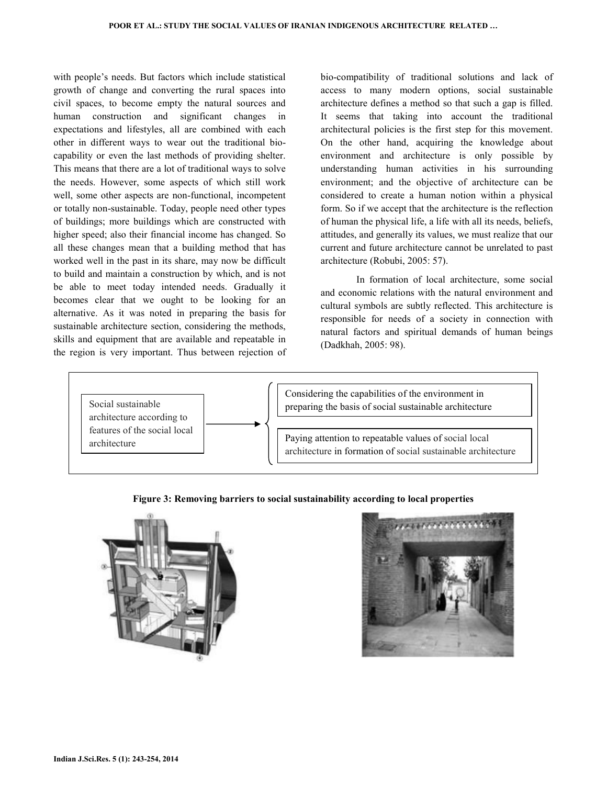with people's needs. But factors which include statistical growth of change and converting the rural spaces into civil spaces, to become empty the natural sources and human construction and significant changes in expectations and lifestyles, all are combined with each other in different ways to wear out the traditional biocapability or even the last methods of providing shelter. This means that there are a lot of traditional ways to solve the needs. However, some aspects of which still work well, some other aspects are non-functional, incompetent or totally non-sustainable. Today, people need other types of buildings; more buildings which are constructed with higher speed; also their financial income has changed. So all these changes mean that a building method that has worked well in the past in its share, may now be difficult to build and maintain a construction by which, and is not be able to meet today intended needs. Gradually it becomes clear that we ought to be looking for an alternative. As it was noted in preparing the basis for sustainable architecture section, considering the methods, skills and equipment that are available and repeatable in the region is very important. Thus between rejection of

bio-compatibility of traditional solutions and lack of access to many modern options, social sustainable architecture defines a method so that such a gap is filled. It seems that taking into account the traditional architectural policies is the first step for this movement. On the other hand, acquiring the knowledge about environment and architecture is only possible by understanding human activities in his surrounding environment; and the objective of architecture can be considered to create a human notion within a physical form. So if we accept that the architecture is the reflection of human the physical life, a life with all its needs, beliefs, attitudes, and generally its values, we must realize that our current and future architecture cannot be unrelated to past architecture (Robubi, 2005: 57).

 In formation of local architecture, some social and economic relations with the natural environment and cultural symbols are subtly reflected. This architecture is responsible for needs of a society in connection with natural factors and spiritual demands of human beings (Dadkhah, 2005: 98).



### Figure 3: Removing barriers to social sustainability according to local properties



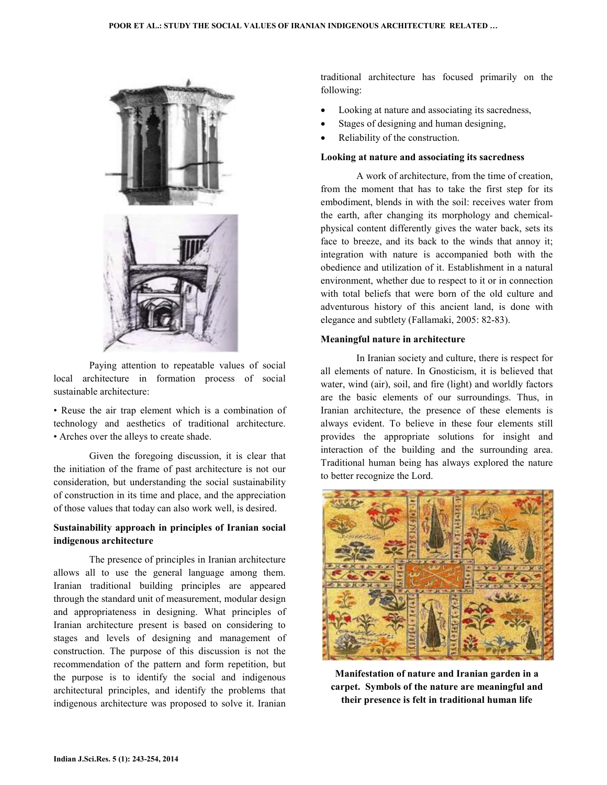

 Paying attention to repeatable values of social local architecture in formation process of social sustainable architecture:

• Reuse the air trap element which is a combination of technology and aesthetics of traditional architecture. • Arches over the alleys to create shade.

 Given the foregoing discussion, it is clear that the initiation of the frame of past architecture is not our consideration, but understanding the social sustainability of construction in its time and place, and the appreciation of those values that today can also work well, is desired.

### Sustainability approach in principles of Iranian social indigenous architecture

 The presence of principles in Iranian architecture allows all to use the general language among them. Iranian traditional building principles are appeared through the standard unit of measurement, modular design and appropriateness in designing. What principles of Iranian architecture present is based on considering to stages and levels of designing and management of construction. The purpose of this discussion is not the recommendation of the pattern and form repetition, but the purpose is to identify the social and indigenous architectural principles, and identify the problems that indigenous architecture was proposed to solve it. Iranian

traditional architecture has focused primarily on the following:

- Looking at nature and associating its sacredness,
- Stages of designing and human designing,
- Reliability of the construction.

#### Looking at nature and associating its sacredness

 A work of architecture, from the time of creation, from the moment that has to take the first step for its embodiment, blends in with the soil: receives water from the earth, after changing its morphology and chemicalphysical content differently gives the water back, sets its face to breeze, and its back to the winds that annoy it; integration with nature is accompanied both with the obedience and utilization of it. Establishment in a natural environment, whether due to respect to it or in connection with total beliefs that were born of the old culture and adventurous history of this ancient land, is done with elegance and subtlety (Fallamaki, 2005: 82-83).

#### Meaningful nature in architecture

 In Iranian society and culture, there is respect for all elements of nature. In Gnosticism, it is believed that water, wind (air), soil, and fire (light) and worldly factors are the basic elements of our surroundings. Thus, in Iranian architecture, the presence of these elements is always evident. To believe in these four elements still provides the appropriate solutions for insight and interaction of the building and the surrounding area. Traditional human being has always explored the nature to better recognize the Lord.



Manifestation of nature and Iranian garden in a carpet. Symbols of the nature are meaningful and their presence is felt in traditional human life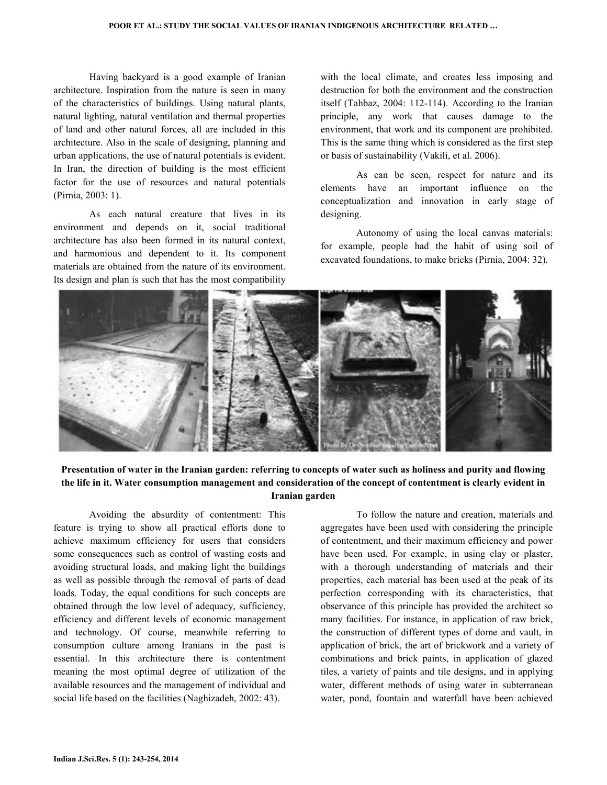Having backyard is a good example of Iranian architecture. Inspiration from the nature is seen in many of the characteristics of buildings. Using natural plants, natural lighting, natural ventilation and thermal properties of land and other natural forces, all are included in this architecture. Also in the scale of designing, planning and urban applications, the use of natural potentials is evident. In Iran, the direction of building is the most efficient factor for the use of resources and natural potentials (Pirnia, 2003: 1).

 As each natural creature that lives in its environment and depends on it, social traditional architecture has also been formed in its natural context, and harmonious and dependent to it. Its component materials are obtained from the nature of its environment. Its design and plan is such that has the most compatibility

with the local climate, and creates less imposing and destruction for both the environment and the construction itself (Tahbaz, 2004: 112-114). According to the Iranian principle, any work that causes damage to the environment, that work and its component are prohibited. This is the same thing which is considered as the first step or basis of sustainability (Vakili, et al. 2006).

 As can be seen, respect for nature and its elements have an important influence on the conceptualization and innovation in early stage of designing.

 Autonomy of using the local canvas materials: for example, people had the habit of using soil of excavated foundations, to make bricks (Pirnia, 2004: 32).



# Presentation of water in the Iranian garden: referring to concepts of water such as holiness and purity and flowing the life in it. Water consumption management and consideration of the concept of contentment is clearly evident in Iranian garden

 Avoiding the absurdity of contentment: This feature is trying to show all practical efforts done to achieve maximum efficiency for users that considers some consequences such as control of wasting costs and avoiding structural loads, and making light the buildings as well as possible through the removal of parts of dead loads. Today, the equal conditions for such concepts are obtained through the low level of adequacy, sufficiency, efficiency and different levels of economic management and technology. Of course, meanwhile referring to consumption culture among Iranians in the past is essential. In this architecture there is contentment meaning the most optimal degree of utilization of the available resources and the management of individual and social life based on the facilities (Naghizadeh, 2002: 43).

 To follow the nature and creation, materials and aggregates have been used with considering the principle of contentment, and their maximum efficiency and power have been used. For example, in using clay or plaster, with a thorough understanding of materials and their properties, each material has been used at the peak of its perfection corresponding with its characteristics, that observance of this principle has provided the architect so many facilities. For instance, in application of raw brick, the construction of different types of dome and vault, in application of brick, the art of brickwork and a variety of combinations and brick paints, in application of glazed tiles, a variety of paints and tile designs, and in applying water, different methods of using water in subterranean water, pond, fountain and waterfall have been achieved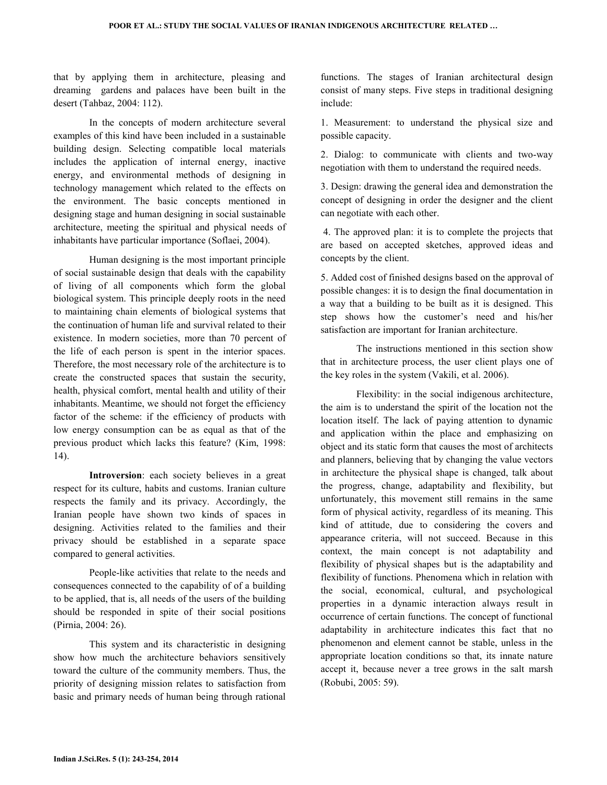that by applying them in architecture, pleasing and dreaming gardens and palaces have been built in the desert (Tahbaz, 2004: 112).

 In the concepts of modern architecture several examples of this kind have been included in a sustainable building design. Selecting compatible local materials includes the application of internal energy, inactive energy, and environmental methods of designing in technology management which related to the effects on the environment. The basic concepts mentioned in designing stage and human designing in social sustainable architecture, meeting the spiritual and physical needs of inhabitants have particular importance (Soflaei, 2004).

 Human designing is the most important principle of social sustainable design that deals with the capability of living of all components which form the global biological system. This principle deeply roots in the need to maintaining chain elements of biological systems that the continuation of human life and survival related to their existence. In modern societies, more than 70 percent of the life of each person is spent in the interior spaces. Therefore, the most necessary role of the architecture is to create the constructed spaces that sustain the security, health, physical comfort, mental health and utility of their inhabitants. Meantime, we should not forget the efficiency factor of the scheme: if the efficiency of products with low energy consumption can be as equal as that of the previous product which lacks this feature? (Kim, 1998: 14).

 Introversion: each society believes in a great respect for its culture, habits and customs. Iranian culture respects the family and its privacy. Accordingly, the Iranian people have shown two kinds of spaces in designing. Activities related to the families and their privacy should be established in a separate space compared to general activities.

 People-like activities that relate to the needs and consequences connected to the capability of of a building to be applied, that is, all needs of the users of the building should be responded in spite of their social positions (Pirnia, 2004: 26).

 This system and its characteristic in designing show how much the architecture behaviors sensitively toward the culture of the community members. Thus, the priority of designing mission relates to satisfaction from basic and primary needs of human being through rational

functions. The stages of Iranian architectural design consist of many steps. Five steps in traditional designing include:

1. Measurement: to understand the physical size and possible capacity.

2. Dialog: to communicate with clients and two-way negotiation with them to understand the required needs.

3. Design: drawing the general idea and demonstration the concept of designing in order the designer and the client can negotiate with each other.

 4. The approved plan: it is to complete the projects that are based on accepted sketches, approved ideas and concepts by the client.

5. Added cost of finished designs based on the approval of possible changes: it is to design the final documentation in a way that a building to be built as it is designed. This step shows how the customer's need and his/her satisfaction are important for Iranian architecture.

 The instructions mentioned in this section show that in architecture process, the user client plays one of the key roles in the system (Vakili, et al. 2006).

 Flexibility: in the social indigenous architecture, the aim is to understand the spirit of the location not the location itself. The lack of paying attention to dynamic and application within the place and emphasizing on object and its static form that causes the most of architects and planners, believing that by changing the value vectors in architecture the physical shape is changed, talk about the progress, change, adaptability and flexibility, but unfortunately, this movement still remains in the same form of physical activity, regardless of its meaning. This kind of attitude, due to considering the covers and appearance criteria, will not succeed. Because in this context, the main concept is not adaptability and flexibility of physical shapes but is the adaptability and flexibility of functions. Phenomena which in relation with the social, economical, cultural, and psychological properties in a dynamic interaction always result in occurrence of certain functions. The concept of functional adaptability in architecture indicates this fact that no phenomenon and element cannot be stable, unless in the appropriate location conditions so that, its innate nature accept it, because never a tree grows in the salt marsh (Robubi, 2005: 59).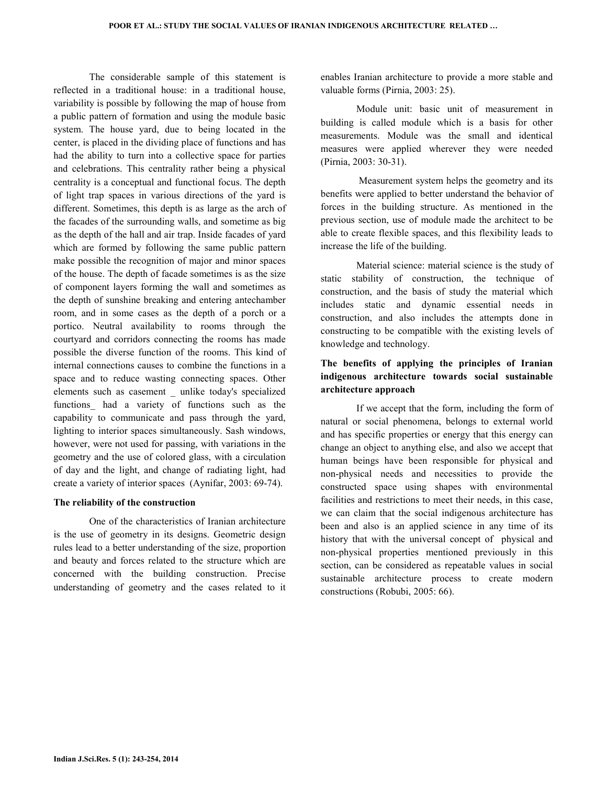The considerable sample of this statement is reflected in a traditional house: in a traditional house, variability is possible by following the map of house from a public pattern of formation and using the module basic system. The house yard, due to being located in the center, is placed in the dividing place of functions and has had the ability to turn into a collective space for parties and celebrations. This centrality rather being a physical centrality is a conceptual and functional focus. The depth of light trap spaces in various directions of the yard is different. Sometimes, this depth is as large as the arch of the facades of the surrounding walls, and sometime as big as the depth of the hall and air trap. Inside facades of yard which are formed by following the same public pattern make possible the recognition of major and minor spaces of the house. The depth of facade sometimes is as the size of component layers forming the wall and sometimes as the depth of sunshine breaking and entering antechamber room, and in some cases as the depth of a porch or a portico. Neutral availability to rooms through the courtyard and corridors connecting the rooms has made possible the diverse function of the rooms. This kind of internal connections causes to combine the functions in a space and to reduce wasting connecting spaces. Other elements such as casement \_ unlike today's specialized functions\_ had a variety of functions such as the capability to communicate and pass through the yard, lighting to interior spaces simultaneously. Sash windows, however, were not used for passing, with variations in the geometry and the use of colored glass, with a circulation of day and the light, and change of radiating light, had create a variety of interior spaces (Aynifar, 2003: 69-74).

#### The reliability of the construction

 One of the characteristics of Iranian architecture is the use of geometry in its designs. Geometric design rules lead to a better understanding of the size, proportion and beauty and forces related to the structure which are concerned with the building construction. Precise understanding of geometry and the cases related to it

enables Iranian architecture to provide a more stable and valuable forms (Pirnia, 2003: 25).

 Module unit: basic unit of measurement in building is called module which is a basis for other measurements. Module was the small and identical measures were applied wherever they were needed (Pirnia, 2003: 30-31).

 Measurement system helps the geometry and its benefits were applied to better understand the behavior of forces in the building structure. As mentioned in the previous section, use of module made the architect to be able to create flexible spaces, and this flexibility leads to increase the life of the building.

 Material science: material science is the study of static stability of construction, the technique of construction, and the basis of study the material which includes static and dynamic essential needs in construction, and also includes the attempts done in constructing to be compatible with the existing levels of knowledge and technology.

# The benefits of applying the principles of Iranian indigenous architecture towards social sustainable architecture approach

 If we accept that the form, including the form of natural or social phenomena, belongs to external world and has specific properties or energy that this energy can change an object to anything else, and also we accept that human beings have been responsible for physical and non-physical needs and necessities to provide the constructed space using shapes with environmental facilities and restrictions to meet their needs, in this case, we can claim that the social indigenous architecture has been and also is an applied science in any time of its history that with the universal concept of physical and non-physical properties mentioned previously in this section, can be considered as repeatable values in social sustainable architecture process to create modern constructions (Robubi, 2005: 66).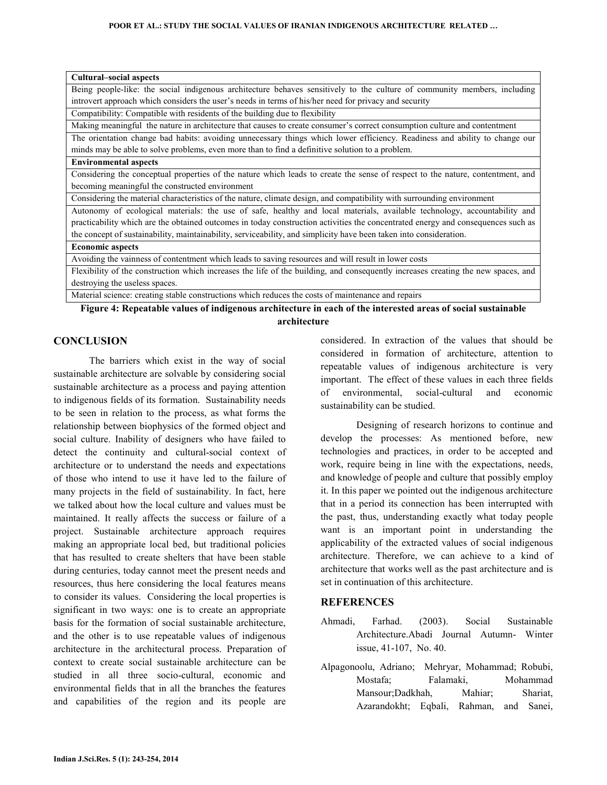| <b>Cultural–social aspects</b>                                                                                                                                                                                                                                                                                                                      |
|-----------------------------------------------------------------------------------------------------------------------------------------------------------------------------------------------------------------------------------------------------------------------------------------------------------------------------------------------------|
| Being people-like: the social indigenous architecture behaves sensitively to the culture of community members, including                                                                                                                                                                                                                            |
| introvert approach which considers the user's needs in terms of his/her need for privacy and security                                                                                                                                                                                                                                               |
| Compatibility: Compatible with residents of the building due to flexibility                                                                                                                                                                                                                                                                         |
| Making meaningful the nature in architecture that causes to create consumer's correct consumption culture and contentment                                                                                                                                                                                                                           |
| The orientation change bad habits: avoiding unnecessary things which lower efficiency. Readiness and ability to change our                                                                                                                                                                                                                          |
| minds may be able to solve problems, even more than to find a definitive solution to a problem.                                                                                                                                                                                                                                                     |
| <b>Environmental aspects</b>                                                                                                                                                                                                                                                                                                                        |
| Considering the conceptual properties of the nature which leads to create the sense of respect to the nature, contentment, and                                                                                                                                                                                                                      |
| becoming meaningful the constructed environment                                                                                                                                                                                                                                                                                                     |
| Considering the material characteristics of the nature, climate design, and compatibility with surrounding environment                                                                                                                                                                                                                              |
| Autonomy of ecological materials: the use of safe, healthy and local materials, available technology, accountability and                                                                                                                                                                                                                            |
| practicability which are the obtained outcomes in today construction activities the concentrated energy and consequences such as                                                                                                                                                                                                                    |
| the concept of sustainability, maintainability, serviceability, and simplicity have been taken into consideration.                                                                                                                                                                                                                                  |
| <b>Economic aspects</b>                                                                                                                                                                                                                                                                                                                             |
| Avoiding the vainness of contentment which leads to saving resources and will result in lower costs                                                                                                                                                                                                                                                 |
| Flexibility of the construction which increases the life of the building, and consequently increases creating the new spaces, and                                                                                                                                                                                                                   |
| destroying the useless spaces.                                                                                                                                                                                                                                                                                                                      |
| .<br>$\mathbf{a}$ , $\mathbf{a}$ , $\mathbf{a}$ , $\mathbf{a}$ , $\mathbf{a}$ , $\mathbf{a}$ , $\mathbf{a}$ , $\mathbf{a}$ , $\mathbf{a}$ , $\mathbf{a}$ , $\mathbf{a}$ , $\mathbf{a}$ , $\mathbf{a}$ , $\mathbf{a}$ , $\mathbf{a}$ , $\mathbf{a}$ , $\mathbf{a}$ , $\mathbf{a}$ , $\mathbf{a}$ , $\mathbf{a}$ ,<br>the company's state of the com- |

Material science: creating stable constructions which reduces the costs of maintenance and repairs

Figure 4: Repeatable values of indigenous architecture in each of the interested areas of social sustainable architecture

# **CONCLUSION**

 The barriers which exist in the way of social sustainable architecture are solvable by considering social sustainable architecture as a process and paying attention to indigenous fields of its formation. Sustainability needs to be seen in relation to the process, as what forms the relationship between biophysics of the formed object and social culture. Inability of designers who have failed to detect the continuity and cultural-social context of architecture or to understand the needs and expectations of those who intend to use it have led to the failure of many projects in the field of sustainability. In fact, here we talked about how the local culture and values must be maintained. It really affects the success or failure of a project. Sustainable architecture approach requires making an appropriate local bed, but traditional policies that has resulted to create shelters that have been stable during centuries, today cannot meet the present needs and resources, thus here considering the local features means to consider its values. Considering the local properties is significant in two ways: one is to create an appropriate basis for the formation of social sustainable architecture, and the other is to use repeatable values of indigenous architecture in the architectural process. Preparation of context to create social sustainable architecture can be studied in all three socio-cultural, economic and environmental fields that in all the branches the features and capabilities of the region and its people are

considered. In extraction of the values that should be considered in formation of architecture, attention to repeatable values of indigenous architecture is very important. The effect of these values in each three fields of environmental, social-cultural and economic sustainability can be studied.

 Designing of research horizons to continue and develop the processes: As mentioned before, new technologies and practices, in order to be accepted and work, require being in line with the expectations, needs, and knowledge of people and culture that possibly employ it. In this paper we pointed out the indigenous architecture that in a period its connection has been interrupted with the past, thus, understanding exactly what today people want is an important point in understanding the applicability of the extracted values of social indigenous architecture. Therefore, we can achieve to a kind of architecture that works well as the past architecture and is set in continuation of this architecture.

### **REFERENCES**

- Ahmadi, Farhad. (2003). Social Sustainable Architecture.Abadi Journal Autumn- Winter issue, 41-107, No. 40.
- Alpagonoolu, Adriano; Mehryar, Mohammad; Robubi, Mostafa; Falamaki, Mohammad Mansour;Dadkhah, Mahiar; Shariat, Azarandokht; Eqbali, Rahman, and Sanei,